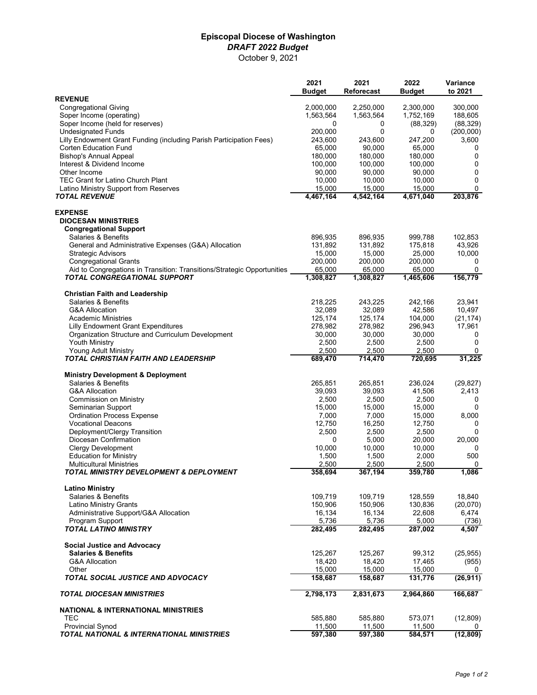## **Episcopal Diocese of Washington**  *DRAFT 2022 Budget* October 9, 2021

|                                                                                                         | 2021<br><b>Budget</b> | 2021<br><b>Reforecast</b> | 2022<br><b>Budget</b> | Variance<br>to 2021 |
|---------------------------------------------------------------------------------------------------------|-----------------------|---------------------------|-----------------------|---------------------|
| <b>REVENUE</b>                                                                                          |                       |                           |                       |                     |
| <b>Congregational Giving</b>                                                                            | 2,000,000             | 2,250,000                 | 2,300,000             | 300,000             |
| Soper Income (operating)                                                                                | 1,563,564             | 1,563,564                 | 1,752,169             | 188,605             |
| Soper Income (held for reserves)                                                                        | 0                     | 0                         | (88, 329)             | (88, 329)           |
| <b>Undesignated Funds</b>                                                                               | 200,000               | $\Omega$                  | 0                     | (200,000)           |
| Lilly Endowment Grant Funding (including Parish Participation Fees)<br>Corten Education Fund            | 243,600<br>65,000     | 243,600<br>90,000         | 247,200<br>65,000     | 3,600<br>0          |
| Bishop's Annual Appeal                                                                                  | 180,000               | 180,000                   | 180,000               | 0                   |
| Interest & Dividend Income                                                                              | 100,000               | 100,000                   | 100,000               | 0                   |
| Other Income                                                                                            | 90,000                | 90,000                    | 90,000                | 0                   |
| TEC Grant for Latino Church Plant                                                                       | 10,000                | 10,000                    | 10,000                | 0                   |
| Latino Ministry Support from Reserves                                                                   | 15,000                | 15,000                    | 15,000                | 0                   |
| <b>TOTAL REVENUE</b>                                                                                    | 4,467,164             | 4,542,164                 | 4,671,040             | 203,876             |
| <b>EXPENSE</b>                                                                                          |                       |                           |                       |                     |
| <b>DIOCESAN MINISTRIES</b>                                                                              |                       |                           |                       |                     |
| <b>Congregational Support</b>                                                                           |                       |                           |                       |                     |
| Salaries & Benefits                                                                                     | 896,935               | 896,935                   | 999,788               | 102,853             |
| General and Administrative Expenses (G&A) Allocation                                                    | 131,892               | 131,892                   | 175,818               | 43,926              |
| <b>Strategic Advisors</b>                                                                               | 15,000                | 15,000                    | 25,000                | 10,000              |
| <b>Congregational Grants</b>                                                                            | 200,000               | 200,000                   | 200,000               | 0                   |
| Aid to Congregations in Transition: Transitions/Strategic Opportunities<br>TOTAL CONGREGATIONAL SUPPORT | 65,000<br>1,308,827   | 65,000                    | 65,000                | 0                   |
|                                                                                                         |                       | 1,308,827                 | 1,465,606             | 156,779             |
| <b>Christian Faith and Leadership</b>                                                                   |                       |                           |                       |                     |
| Salaries & Benefits                                                                                     | 218,225               | 243,225                   | 242,166               | 23,941              |
| <b>G&amp;A Allocation</b>                                                                               | 32,089                | 32,089                    | 42,586                | 10,497              |
| <b>Academic Ministries</b>                                                                              | 125,174               | 125,174                   | 104,000               | (21, 174)           |
| Lilly Endowment Grant Expenditures                                                                      | 278,982               | 278,982                   | 296,943               | 17,961              |
| Organization Structure and Curriculum Development                                                       | 30,000                | 30,000                    | 30,000                | 0                   |
| Youth Ministry                                                                                          | 2,500                 | 2,500                     | 2,500                 | 0                   |
| Young Adult Ministry<br>TOTAL CHRISTIAN FAITH AND LEADERSHIP                                            | 2,500<br>689,470      | 2,500<br>714,470          | 2,500<br>720,695      | 0<br>31,225         |
| <b>Ministry Development &amp; Deployment</b>                                                            |                       |                           |                       |                     |
| Salaries & Benefits                                                                                     | 265,851               | 265,851                   | 236,024               | (29, 827)           |
| <b>G&amp;A Allocation</b>                                                                               | 39,093                | 39,093                    | 41,506                | 2,413               |
| Commission on Ministry                                                                                  | 2,500                 | 2,500                     | 2,500                 | 0                   |
| Seminarian Support                                                                                      | 15,000                | 15,000                    | 15,000                | $\Omega$            |
| <b>Ordination Process Expense</b>                                                                       | 7,000                 | 7,000                     | 15,000                | 8,000               |
| <b>Vocational Deacons</b>                                                                               | 12,750                | 16,250                    | 12,750                | 0                   |
| Deployment/Clergy Transition                                                                            | 2,500                 | 2,500                     | 2,500                 | 0                   |
| Diocesan Confirmation                                                                                   | 0                     | 5,000                     | 20,000                | 20,000              |
| <b>Clergy Development</b>                                                                               | 10,000                | 10,000                    | 10,000                | 0                   |
| <b>Education for Ministry</b>                                                                           | 1,500                 | 1,500                     | 2,000                 | 500                 |
| <b>Multicultural Ministries</b>                                                                         | 2,500                 | 2,500                     | 2,500                 | 0                   |
| TOTAL MINISTRY DEVELOPMENT & DEPLOYMENT                                                                 | 358,694               | 367,194                   | 359,780               | 1,086               |
| <b>Latino Ministry</b>                                                                                  |                       |                           |                       |                     |
| Salaries & Benefits                                                                                     | 109,719               | 109,719                   | 128,559               | 18,840              |
| Latino Ministry Grants<br>Administrative Support/G&A Allocation                                         | 150,906<br>16,134     | 150,906<br>16,134         | 130,836<br>22,608     | (20,070)<br>6,474   |
| Program Support                                                                                         | 5,736                 | 5,736                     | 5,000                 | (736)               |
| <b>TOTAL LATINO MINISTRY</b>                                                                            | 282,495               | 282,495                   | 287,002               | 4,507               |
| <b>Social Justice and Advocacy</b>                                                                      |                       |                           |                       |                     |
| <b>Salaries &amp; Benefits</b>                                                                          | 125,267               | 125,267                   | 99,312                | (25, 955)           |
| <b>G&amp;A Allocation</b>                                                                               | 18,420                | 18,420                    | 17,465                | (955)               |
| Other                                                                                                   | 15,000                | 15,000                    | 15,000                | 0                   |
| TOTAL SOCIAL JUSTICE AND ADVOCACY                                                                       | 158,687               | 158,687                   | 131,776               | (26, 911)           |
| <b>TOTAL DIOCESAN MINISTRIES</b>                                                                        | 2,798,173             | 2,831,673                 | 2,964,860             | 166,687             |
| <b>NATIONAL &amp; INTERNATIONAL MINISTRIES</b>                                                          |                       |                           |                       |                     |
| TEC                                                                                                     | 585,880               | 585,880                   | 573,071               | (12, 809)           |
| <b>Provincial Synod</b>                                                                                 | 11,500                | 11,500                    | 11,500                | 0                   |
| TOTAL NATIONAL & INTERNATIONAL MINISTRIES                                                               | 597,380               | 597,380                   | 584,571               | (12, 809)           |